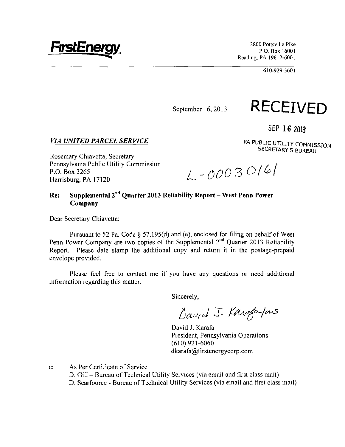

P.O. Box 16001 Reading, PA 19612-6001

610-929-3601

September 16,2013



**SEP 16 2013** 

*VIA UNITED PARCEL SERVICE* 

PA PUBLIC UTILITY COMMISSION SECRETARY'S BUREAU

Rosemary Chiavetta. Secretary Pennsylvania Public Utility Commission P.O. Box 3265 Harrisburg, PA 17120

 $200030161$ 

#### **Re:** Supplemental 2<sup>nd</sup> Quarter 2013 Reliability Report – West Penn Power **Company**

Dear Secretary Chiavetta:

Pursuant to 52 Pa. Code § 57.195(d) and (e), enclosed for filing on behalf of West Penn Power Company are two copies of the Supplemental 2<sup>nd</sup> Quarter 2013 Reliability Report. Please date stamp the additional copy and return it in the postage-prepaid envelope provided.

Please feel free to contact me if you have any questions or need additional information regarding this matter.

Sincerely,

David J. Karafa Ins

David J. Karafa President, Pennsylvania Operations (610) 921-6060 dkarafa@firstenergycorp.com

c: As Per Certificate of Service

D. Gill - Bureau of Technical Utility Services (via email and first class mail)

D. Searfoorce - Bureau of Technical Utility Services (via email and first class mail)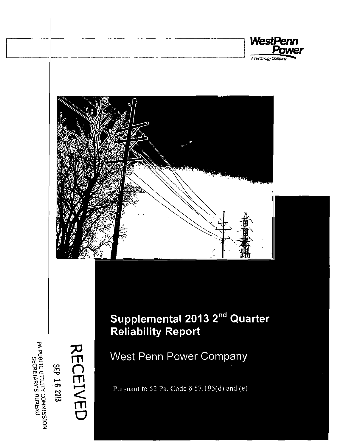



**-0 >**  <u>ոճ</u> **So**  <u>م</u> خ

**C O** 

 $\mathbf{e}$ **o3** 

**cn** 

**^3** 

 $\bigcap \limits_{n=1}^{\infty}$ **o m** 

**< m** 

**a** 

# **Supplemental 2013 2 <sup>n</sup> <sup>d</sup> Quarter Reliability Report**

West Penn Power Company

**Pursuant to 52 Pa. Code § 57.195(d) and (e)**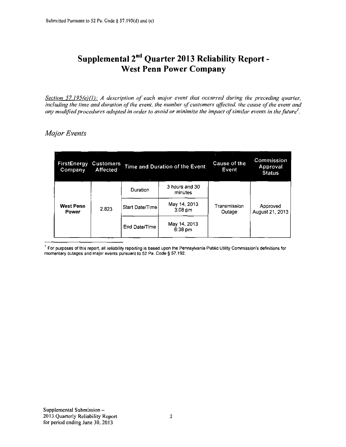## **Supplemental 2 <sup>n</sup> <sup>d</sup> Quarter 2013 Reliability Report - West Penn Power Company**

*Section 57.195(e)(1): A description of each major event that occurred during the preceding quarter, including the time and duration of the event, the number of customers affected, the cause of the event and any modified procedures adopted in order to avoid or minimize the impact of similar events in the future'.* 

### *Major Events*

|  | FirstEnergy<br>Company    | <b>Customers</b><br><b>Affected</b> |                 | Time and Duration of the Event    | <b>Cause of the</b><br>Event, | Commission<br>Approval<br><b>Status</b> |
|--|---------------------------|-------------------------------------|-----------------|-----------------------------------|-------------------------------|-----------------------------------------|
|  |                           |                                     | Duration        | 3 hours and 30<br>minutes         |                               |                                         |
|  | <b>West Penn</b><br>Power | 2823                                | Start Date/Time | May 14, 2013<br>$3:08$ pm         | Transmission<br>Outage        | Approved<br>August 21, 2013             |
|  |                           |                                     | End Date/Time   | May 14, 2013<br>$6:38 \text{ pm}$ |                               |                                         |

1 For purposes of this report, all reliability reporting is based upon the Pennsylvania Public Utility Commission's definitions for momentary outages and major events pursuant to 52 Pa. Code § 57.192.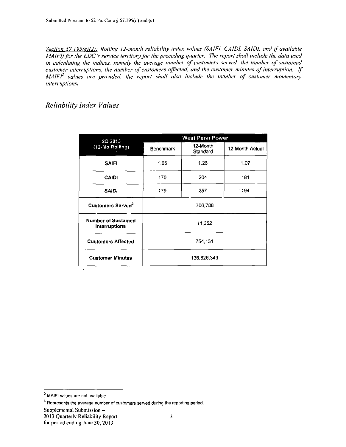*Section 57.l95{e)(2): Rolling ll-month reliability index values (SAIFI, CAIDI. SAIDI, and if available MAIFI) for the EDC's service territory for the preceding quarter. The report shall include the data used*  in calculating the indices, namely the average number of customers served, the number of sustained *customer interruptions, the number of customers affected, and the customer minutes of interruption. If MAIFI<sup>2</sup> values are provided, the report shall also include the number of customer momentary interruptions.* 

#### *Reliability Index Values*

 $\ddot{\phantom{a}}$ 

| 2Q 2013                                                           |             | West Penn Power      |                 |  |  |  |
|-------------------------------------------------------------------|-------------|----------------------|-----------------|--|--|--|
| (12-Mo Rolling)<br>$\mathcal{L} = \mathcal{L} \times \mathcal{L}$ | Benchmark   | 12-Month<br>Standard | 12-Month Actual |  |  |  |
| <b>SAIFI</b>                                                      | 1.05        | 1 2 6                | 1.07            |  |  |  |
| <b>CAIDI</b>                                                      | 170         | 204                  | 181             |  |  |  |
| <b>SAIDI</b>                                                      | 179         | 257                  | ↑194            |  |  |  |
| Customers Served <sup>3</sup>                                     | 706,788     |                      |                 |  |  |  |
| <b>Number of Sustained</b><br>Interruptions                       | 11,352      |                      |                 |  |  |  |
| <b>Customers Affected</b>                                         | 754,131     |                      |                 |  |  |  |
| <b>Customer Minutes</b>                                           | 136,826,343 |                      |                 |  |  |  |

MAIFI values are not available

 $3$  Represents the average number of customers served during the reporting period.

Supplemental Submission -

<sup>2013</sup> Quarterly Reliability Report 3

for period ending June 30, 2013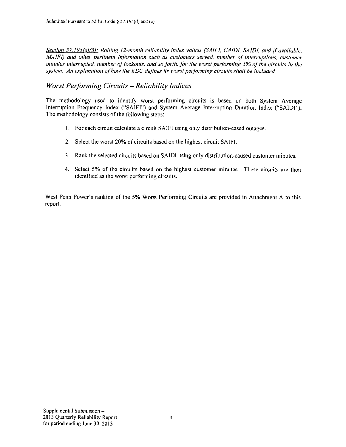*Section 57.195(e)(3): Rolling 12-month reliability index values (SAIFI, CAIDI. SAIDI, and if available, MAIFI)* and other pertinent information such as customers served, number of interruptions, customer *minutes interrupted, number of lockouts, and so forth, for the worst performing 5% of the circuits in the system. An explanation of how the EDC defines its worst performing circuits shall be included.* 

#### *Worst Performing Circuits - Reliability Indices*

The methodology used to identify worst performing circuits is based on both System Average Interruption Frequency Index ("SAIFI") and System Average Interruption Duration Index ("SAIDI"). The methodology consists of the following steps:

- 1. For each circuit calculate a circuit SAIFI using only distribution-cased outages.
- 2. Select the worst 20% of circuits based on the highest circuit SAIFI.
- 3. Rank the selected circuits based on SAIDI using only distribution-caused customer minutes.
- 4. Select 5% of the circuits based on the highest customer minutes. These circuits are then identified as the worst performing circuits.

West Penn Power's ranking of the 5% Worst Performing Circuits arc provided in Attachment A to this report.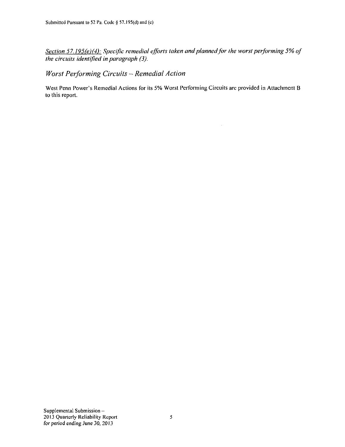*Section 57.195(e)(4): Specific remedial efforts taken and planned for the worst performing 5% of the circuits identified in paragraph (3).* 

*Worst Performing Circuits ~ Remedial Action* 

West Penn Power's Remedial Actions for its 5% Worst Performing Circuits are provided in Attachment B to this report.

 $\bar{\gamma}$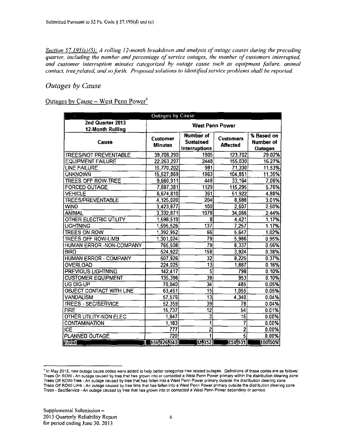*Section 57.195(e)(5): A roiling 12-month breakdown and analysis of outage causes during the preceding quarter, including the number and percentage of service outages, the number of customers interrupted, and customer interruption minutes categorized by outage cause such as equipment failure, animal contact, tree related, and so forth. Proposed solutions to identified service problems shall be reported.* 

#### *Outages by Cause*

#### Outages by Cause - West Penn Power<sup>4</sup>

| à.                           |                            |                                                       |                                     | <b>Outages by Cause</b>                   |  |  |  |  |  |  |  |  |  |
|------------------------------|----------------------------|-------------------------------------------------------|-------------------------------------|-------------------------------------------|--|--|--|--|--|--|--|--|--|
| 2nd Quarter 2013             |                            |                                                       | <b>West Penn Power</b>              |                                           |  |  |  |  |  |  |  |  |  |
| 12-Month Rolling             |                            |                                                       |                                     |                                           |  |  |  |  |  |  |  |  |  |
| Cause                        | Customer<br><b>Minutes</b> | Number of<br><b>Sustained</b><br><b>Interruptions</b> | <b>Customers</b><br><b>Affected</b> | % Based on<br>Number of<br><b>Outages</b> |  |  |  |  |  |  |  |  |  |
| <b>TREES/NOT PREVENTABLE</b> | 39,708,290                 | 1905                                                  | 123,702                             | 29.02%                                    |  |  |  |  |  |  |  |  |  |
| <b>EQUIPMENT FAILURE</b>     | 22,263,207                 | 2448                                                  | 155,030                             | 16.27%                                    |  |  |  |  |  |  |  |  |  |
| <b>LINE FAILURE</b>          | 15,770,202                 | 981                                                   | 71,330                              | 11.53%                                    |  |  |  |  |  |  |  |  |  |
| <b>UNKNOWN</b>               | 15,527,869                 | 1963                                                  | 104,851                             | 11.35%                                    |  |  |  |  |  |  |  |  |  |
| <b>TREES OFF ROW-TREE</b>    | 9,660,911                  | 448                                                   | 33,164                              | 7.06%                                     |  |  |  |  |  |  |  |  |  |
| <b>FORCED OUTAGE</b>         | 7,887,381                  | 1129                                                  | 115,295                             | 5.76%                                     |  |  |  |  |  |  |  |  |  |
| VEHICLE                      | 6,674,810                  | 361                                                   | 51,922                              | 4.88%                                     |  |  |  |  |  |  |  |  |  |
| TREES/PREVENTABLE            | 4 125 020                  | 204                                                   | 8,688                               | 3.01%                                     |  |  |  |  |  |  |  |  |  |
| <b>WIND</b>                  | 3,423,877                  | 100                                                   | 2,607                               | 2.50%                                     |  |  |  |  |  |  |  |  |  |
| <b>ANIMAL</b>                | 3.332.871                  | 1078                                                  | 34,066                              | 2.44%                                     |  |  |  |  |  |  |  |  |  |
| OTHER ELECTRIC UTILITY       | 1 598,519                  | 8                                                     | 4,421                               | 1.17%                                     |  |  |  |  |  |  |  |  |  |
| <b>LIGHTNING</b>             | 1,595,526                  | 137                                                   | 7,257                               | 1.17%                                     |  |  |  |  |  |  |  |  |  |
| <b>TREES ON ROW</b>          | 1.392,952                  | 66                                                    | 5,647                               | 1.02%                                     |  |  |  |  |  |  |  |  |  |
| <b>TREES OFF ROW-LIMB</b>    | 1,301,024                  | $\overline{79}$                                       | 5,986                               | 0.95%                                     |  |  |  |  |  |  |  |  |  |
| HUMAN ERROR - NON-COMPANY    | 765,508                    | 79                                                    | 8,337                               | 0.56%                                     |  |  |  |  |  |  |  |  |  |
| <b>BIRD</b>                  | 524,922                    | 158                                                   | 3,924                               | 0.38%                                     |  |  |  |  |  |  |  |  |  |
| HUMAN ERROR - COMPANY        | 507,926                    | $\overline{32}$                                       | 8,225                               | 0.37%                                     |  |  |  |  |  |  |  |  |  |
| <b>OVERLOAD</b>              | 224.025                    | $\overline{13}$                                       | 1,887                               | 0.16%                                     |  |  |  |  |  |  |  |  |  |
| PREVIOUS LIGHTNING           | 142,417                    | $\overline{5}$                                        | 798                                 | 0.10%                                     |  |  |  |  |  |  |  |  |  |
| <b>CUSTOMER EQUIPMENT</b>    | 135,396                    | $\overline{38}$                                       | 953                                 | 0.10%                                     |  |  |  |  |  |  |  |  |  |
| UG DIG-UP                    | 70,040                     | $\overline{34}$                                       | 485                                 | 0.05%                                     |  |  |  |  |  |  |  |  |  |
| OBJECT CONTACT WITH LINE     | 63.451                     | $\overline{15}$                                       | 1,055                               | 0.05%                                     |  |  |  |  |  |  |  |  |  |
| <b>VANDALISM</b>             | 57,576                     | $\overline{13}$                                       | 4,340                               | 0.04%                                     |  |  |  |  |  |  |  |  |  |
| <b>TREES - SEC/SERVICE</b>   | 52,359                     | 39                                                    | 78                                  | 0.04%                                     |  |  |  |  |  |  |  |  |  |
| <b>FIRE</b>                  | 15,737                     | $\overline{12}$                                       | $\overline{54}$                     | 0.01%                                     |  |  |  |  |  |  |  |  |  |
| OTHER UTILITY-NON ELEC       | 1,847                      | $\overline{\mathbf{3}}$                               | $\overline{\overline{\mathbf{15}}}$ | 0.00%                                     |  |  |  |  |  |  |  |  |  |
| <b>CONTAMINATION</b>         | 1,183                      | $\overline{\mathbf{1}}$                               | 7                                   | 0.00%                                     |  |  |  |  |  |  |  |  |  |
| <b>ICE</b>                   | 777                        | $\overline{2}$                                        | $\overline{2}$                      | 0.00%                                     |  |  |  |  |  |  |  |  |  |
| PLANNED OUTAGE               | 720                        |                                                       |                                     | 0.00%                                     |  |  |  |  |  |  |  |  |  |
| <b>Total</b>                 | 136,826,343                | [11,352]                                              | 7,545131                            | [100!00%]                                 |  |  |  |  |  |  |  |  |  |

<sup>4</sup> In May 2013, new outage cause codes were added to help better categorize tree related outages. Definitions of these codes are as follows: Trees On ROW - An outage caused by tree that has grown into or contacted a West Penn Power primary within the distribution clearing zone Trees Off ROW-Tree - An outage caused by tree that has fallen into a West Penn Power primary outside the distribution clearing zone Trees Off ROW-Uimb - An outage caused by tree limb that has fallen into a West Penn Power primary outside the distribution clearing zone Trees - Sec/Service - An outage caused by tree that has grown into or contacted a West Penn Power secondary or service.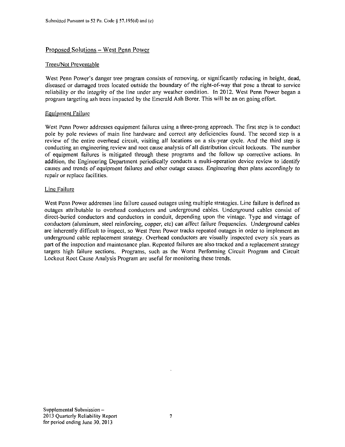#### Proposed Solutions - West Penn Power

#### Trees/Not Preventable

West Penn Power's danger tree program consists of removing, or significantly reducing in height, dead, diseased or damaged trees located outside the boundary of the right-of-way that pose a threat to service reliability or the integrity of the line under any weather condition. In 2012. West Penn Power began a program targeting ash trees impacted by the Emerald Ash Borer. This will be an on going effort.

#### Equipment Failure

West Penn Power addresses equipment failures using a three-prong approach. The first step is to conduct pole by pole reviews of main line hardware and correct any deficiencies found. The second step is a review of the entire overhead circuit, visiting all locations on a six-year cycle. And the third step is conducting an engineering review and root cause analysis of all distribution circuit lockouts. The number of equipment failures is mitigated through these programs and the follow up corrective actions. In addition, the Engineering Department periodically conducts a multi-operation device review to identify causes and trends of equipment failures and other outage causes. Engineering then plans accordingly to repair or replace facilities.

#### Line Failure

West Penn Power addresses line failure caused outages using multiple strategies. Line failure is defined as outages attributable to overhead conductors and underground cables. Underground cables consist of direct-buried conductors and conductors in conduit, depending upon the vintage. Type and vintage of conductors (aluminum, steel reinforcing, copper, etc) can affect failure frequencies. Underground cables are inherently difficult to inspect, so West Penn Power tracks repeated outages in order to implement an underground cable replacement strategy. Overhead conductors are visually inspected every six years as part of the inspection and maintenance plan. Repeated failures are also tracked and a replacement strategy targets high failure sections. Programs, such as the Worst Performing Circuit Program and Circuit Lockout Root Cause Analysis Program are useful for monitoring these trends.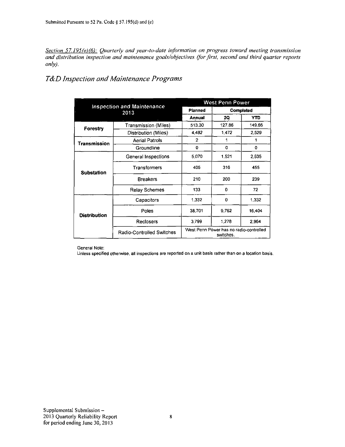*Section 57.195(e)(6): Quarterly and year-to-date information on progress toward meeting transmission and distribution inspection and maintenance goals/objectives (for first, second and third quarter reports only).* 

### *T&D Inspection and Maintenance Programs*

| $\lambda$           |                                           |                | <b>West Penn Power</b>                               |           |
|---------------------|-------------------------------------------|----------------|------------------------------------------------------|-----------|
|                     | <b>Inspection and Maintenance</b><br>2013 | Planned        |                                                      | Completed |
|                     |                                           | Annual         | 2Q                                                   | YTD       |
| Forestry            | Transmission (Miles)                      | 513.30         | 127.86                                               | 149.66    |
|                     | Distribution (Miles)                      | 4,482          | 1,472                                                | 2,529     |
| Transmission        | <b>Aerial Patrols</b>                     | $\overline{2}$ | 1                                                    | 1         |
|                     | Groundline                                | 0              | $\mathbf 0$                                          | 0         |
|                     | General Inspections                       | 5.070          | 1.521                                                | 2,535     |
| <b>Substation</b>   | Transformers                              | 405            | 316                                                  | 455       |
|                     | <b>Breakers</b>                           | 210            | 200                                                  |           |
|                     | <b>Relay Schemes</b>                      | 133            | o                                                    | 72        |
|                     | Capacitors                                | 1.332          | 0                                                    | 1,332     |
| <b>Distribution</b> | Poles                                     | 38.701         | 9.762                                                | 16,404    |
|                     | Reclosers                                 | 3,799          | 1,278                                                | 2.964     |
|                     | Radio-Controlled Switches                 |                | West Penn Power has no radio-controlled<br>switches. |           |

General Note:

Unless specified otherwise, all inspections are reported on a unit basis rather than on a location basis.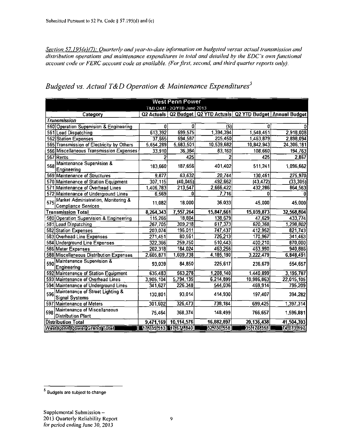*Section 57.}95(e)(7): Quarterly and year-to-date information on budgeted versus actual transmission and distribution operations and maintenance expenditures in total and detailed by the EDC's own functional account code or FERC account code as available. (For first, second, and third quarter reports only).* 

|                                                                                     |                        |                            |            |            | <b>West Penn Power</b> |  |  |  |  |  |  |  |  |  |
|-------------------------------------------------------------------------------------|------------------------|----------------------------|------------|------------|------------------------|--|--|--|--|--|--|--|--|--|
|                                                                                     |                        | T&D O&M - 2Q/YTD June 2013 |            |            |                        |  |  |  |  |  |  |  |  |  |
| Q2 Actuals   Q2 Budget   Q2 YTD Actuals   Q2 YTD Budget   Annual Budget<br>Category |                        |                            |            |            |                        |  |  |  |  |  |  |  |  |  |
| <b>Transmission</b>                                                                 |                        |                            |            |            |                        |  |  |  |  |  |  |  |  |  |
| 560 Operation Supervision & Engineering                                             | 0                      | ۵                          | (5)        | Ω          | ΟI                     |  |  |  |  |  |  |  |  |  |
| 561 Load Dispatching                                                                | 613,392                | 699,575                    | 1,394,394  | 1,548,451  | 2,918,008              |  |  |  |  |  |  |  |  |  |
| 562 Station Expenses                                                                | 37,665                 | 694 587                    | 205,450    | 1,463,879  | 2,898,094              |  |  |  |  |  |  |  |  |  |
| 565 Transmission of Electricity by Others                                           | 5,654,289              | 5,683,501                  | 10,539,682 | 10,842,943 | 24,306,181             |  |  |  |  |  |  |  |  |  |
| 566 Miscellaneous Transmission Expenses                                             | 33,910                 | 36.384                     | 83,160     | 108,660    | 194,763                |  |  |  |  |  |  |  |  |  |
| 567 Rents                                                                           | 2                      | 425                        | 2          | 425        | 2,867                  |  |  |  |  |  |  |  |  |  |
| Maintenance Supervision &<br>568<br>Engineering                                     | 183,660                | 187,656                    | 401,402    | 511,241    | 1.096,662              |  |  |  |  |  |  |  |  |  |
| 569 Maintenance of Structures                                                       | 9,877                  | 63,632                     | 20,744     | 130,461    | 275,970                |  |  |  |  |  |  |  |  |  |
| 570 Maintenance of Station Equipment                                                | 307,115                | (40,045)                   | 492,662    | (43, 472)  | (33, 305)              |  |  |  |  |  |  |  |  |  |
| 571 Maintenance of Overhead Lines                                                   | 1,406,783              | 213,547                    | 2,666,422  | 432,286    | 864,563                |  |  |  |  |  |  |  |  |  |
| 572 Maintenance of Underground Lines                                                | 6,569                  |                            | 7,716      |            |                        |  |  |  |  |  |  |  |  |  |
| Market Administration, Monitoring &<br>575<br><b>Compliance Services</b>            | 11,082                 | 18,000                     | 36.033     | 45,000     | 45,000                 |  |  |  |  |  |  |  |  |  |
| <b>Transmission Total</b>                                                           | 8,264,343              | 7,557,264                  | 15,847,661 | 15,039,873 | 32,568,804             |  |  |  |  |  |  |  |  |  |
| 580 Operation Supervision & Engineering                                             | 115,266                | 18,804                     | 138,679    | 47,629     | 433,774                |  |  |  |  |  |  |  |  |  |
| 581 Load Dispatching                                                                | 267,705                | 309,218                    | 617 373    | 620,368    | 1,298,802              |  |  |  |  |  |  |  |  |  |
| 582 Station Expenses                                                                | 203,074                | 196,011                    | 747 437    | 412,952    | 821,743                |  |  |  |  |  |  |  |  |  |
| 583 Overhead Line Expenses                                                          | 271,451                | 80,561                     | 726,213    | 170,967    | 341,463                |  |  |  |  |  |  |  |  |  |
| 584 Underground Line Expenses                                                       | 322,366                | 259,750                    | 510,443    | 400,210    | 870,000                |  |  |  |  |  |  |  |  |  |
| 586 Meter Expenses                                                                  | 202,318                | 184,024                    | 463,256    | 463,990    | 940,886                |  |  |  |  |  |  |  |  |  |
| 588 Miscellaneous Distribution Expenses                                             | 2,605,871              | 1.609.738                  | 4,185,190  | 3,222,479  | 6.848.491              |  |  |  |  |  |  |  |  |  |
| Maintenance Supervision &<br>590<br>Engineering                                     | 93,039                 | 84,850                     | 225,617    | 236,679    | 554,657                |  |  |  |  |  |  |  |  |  |
| 592 Maintenance of Station Equipment                                                | 635,483                | 563,278                    | 1,208,140  | 1,440,899  | 3,195,787              |  |  |  |  |  |  |  |  |  |
| 593 Maintenance of Overhead Lines                                                   | 3,905,104              | 5,794,135                  | 6,214,899  | 10,986,863 | 22,015,105             |  |  |  |  |  |  |  |  |  |
| 594 Maintenance of Underground Lines                                                | 341,627                | 226,348                    | 544.036    | 469,914    | 795,209                |  |  |  |  |  |  |  |  |  |
| Maintenance of Street Lighting &<br>596<br><b>Signal Systems</b>                    | 130,801                | 93,014                     | 414,930    | 197,407    | 394,282                |  |  |  |  |  |  |  |  |  |
| 597 Maintenance of Meters                                                           | 301,602                | 326,473                    | 738,184    | 699,425    | 1,397,314              |  |  |  |  |  |  |  |  |  |
| Maintenance of Miscellaneous<br>598<br>Distribution Plant                           | 75,464                 | 368,374                    | 148 499    | 766,657    | 1,596,881              |  |  |  |  |  |  |  |  |  |
| <b>Distribution Total</b>                                                           | 9,471,169              | 10,114,576                 | 16,882,897 | 20,136,438 | 41,504,393             |  |  |  |  |  |  |  |  |  |
| WestIPenniPowerIGrand Total                                                         | 17,735,513 17,671,1840 |                            | 32,730,558 | 3551765311 | 74,073,197             |  |  |  |  |  |  |  |  |  |

*Budgeted vs. Actual T&D Operation & Maintenance Expenditures'* 

 $<sup>5</sup>$  Budgets are subject to change</sup>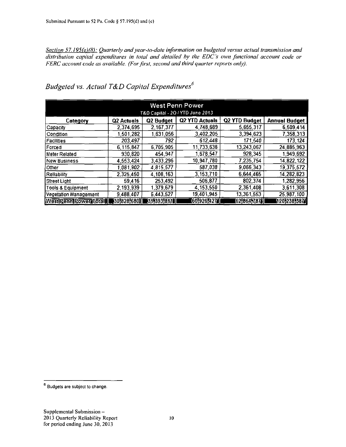*Section 57,195(e)(8): Quarterly and year-to-date information on budgeted versus actual transmission and distribution capital expenditures in total and detailed by the EDC's own functional account code or FERC account code as available. (For first, second and third quarter reports only).* 

| <b>West Penn Power</b><br>T&D Capital - 2Q / YTD June 2013 |                      |                      |                       |               |                      |  |  |  |  |
|------------------------------------------------------------|----------------------|----------------------|-----------------------|---------------|----------------------|--|--|--|--|
| Category                                                   | Q2 Actuals           | Q2 Budget            | <b>Q2 YTD Actuals</b> | Q2 YTD Budget | <b>Annual Budget</b> |  |  |  |  |
| Capacity                                                   | 2,374,695            | 2 167 377            | 4,748,689             | 5,655,317     | 6,509,414            |  |  |  |  |
| Condition                                                  | 1,501,282            | 1,631,056            | 3,402,205             | 3,394,623     | 7,358,313            |  |  |  |  |
| ∣Facilities                                                | 203,497              | 792                  | 612,448               | 171,540       | 173,124              |  |  |  |  |
| Forced                                                     | 6,115,847            | 6.705.905            | 11,733,638            | 13,243,067    | 24,885,963           |  |  |  |  |
| Meter Related                                              | 930,820              | 454,947              | 1,678,547             | 928,345       | 1,949,692            |  |  |  |  |
| New Business                                               | 4,553,424            | 3.433,296            | 10,947,780            | 7.235,754     | 14,822,122           |  |  |  |  |
| ∣Otner                                                     | 1,081,902            | 4,815,577            | 587,038               | 9.066,343     | 19,375,572           |  |  |  |  |
| Reliability                                                | 2,325,450            | 4, 108, 163          | 3,153,710             | 6.644,465     | 14,282,823           |  |  |  |  |
| Street Light                                               | 59.416               | 253,492              | 506,877               | 802,374       | 1,282,956            |  |  |  |  |
| Tools & Equipment                                          | 2,193,939            | 1.379.679            | 4,153,550             | 2,361,408     | 3,611,308            |  |  |  |  |
| Vegetation Management                                      | 9,488,407            | 6,443,527            | 19,401,945            | 13,361,553    | 25,987,100           |  |  |  |  |
| <b>WestPennPowerTotallI</b>                                | <b>30!828!680]  </b> | <b>[3,1,393,811]</b> | [60,926,427]          | [62] 864 7,87 | (120,238,387/        |  |  |  |  |

*Budgeted vs. Actual T&D Capital Expenditures<sup>1</sup>*

 $<sup>6</sup>$  Budgets are subject to change.</sup>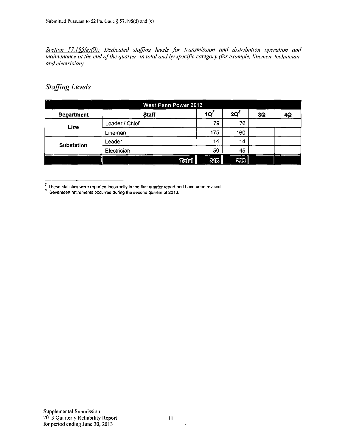**Section 57.195(e)(9):** Dedicated staffing levels for transmission and distribution operation and *maintenance at the end of the quarter, in total and by specific category (for example, linemen, technician, and in the quarter, in total and by specific category (for example, linemen, technician, and electrician).* 

### *Staffing Levels*

| <b>Province</b>   | West Penn Power 2013 |       |     |        |    |    |  |  |  |  |
|-------------------|----------------------|-------|-----|--------|----|----|--|--|--|--|
| <b>Department</b> | <b>Staff</b>         |       | 1Q  | $2Q^8$ | 3Q | 4Q |  |  |  |  |
| Line              | Leader / Chief       |       | 79  | 76     |    |    |  |  |  |  |
|                   | Lineman              |       | 175 | 160    |    |    |  |  |  |  |
| <b>Substation</b> | Leader               |       | 14  | 14     |    |    |  |  |  |  |
|                   | Electrician          |       | 50  | 45     |    |    |  |  |  |  |
|                   |                      | Total | 800 | 293    |    |    |  |  |  |  |

These statistics were reported incorrectly in the first quarter repon and have been revised.

Seventeen retirements occurred during the second quarter of 2013.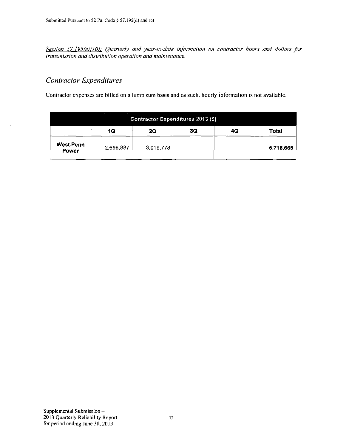*Section 57.195(e){H}): Quarterly and year-to-daie information on contractor hours and dollars for transmission and distrihufion operation and maintenance.* 

### *Contractor Expenditures*

 $\mathcal{L}$ 

Contractor expenses are billed on a lump sum basis and as such, hourly information is not available.

| Contractor Expenditures 2013 (\$) |           |           |    |    |              |  |  |  |  |  |
|-----------------------------------|-----------|-----------|----|----|--------------|--|--|--|--|--|
|                                   | 1Q        | 2Q        | 30 | 4Q | <b>Total</b> |  |  |  |  |  |
| West Penn<br><b>Power</b>         | 2,698,887 | 3,019,778 |    |    | 5,718,665    |  |  |  |  |  |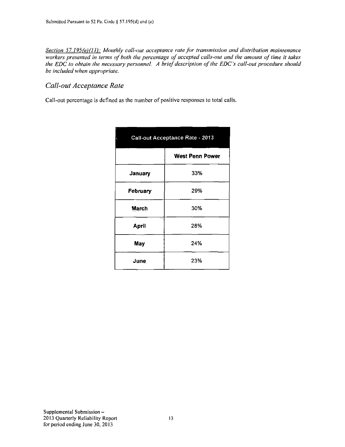**Section 57.195(e)(11):** Monthly call-out acceptance rate for transmission and distribution maintenance *workers presented in terms of both the percentage of accepted calls-out and the amount of time it takes the EDC to obtain the necessary personnel. A brief description of the EDC's call-out procedure should be included when appropriate.* 

#### *Call-out Acceptance Rate*

Call-out percentage is defined as the number of positive responses to total calls.

|                 | Call-out Acceptance Rate - 2013 |
|-----------------|---------------------------------|
|                 | <b>West Penn Power</b>          |
| January         | 33%                             |
| <b>February</b> | 29%                             |
| March           | 30%                             |
| April           | 28%                             |
| May             | 24%                             |
| June            | 23%                             |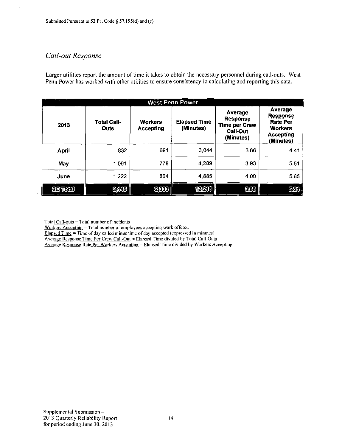### *Call-out Response*

 $\overline{a}$ 

Larger utilities report the amount of time it takes to obtain the necessary personnel during call-outs. West Penn Power has worked wilh other utilities to ensure consistency in calculating and reporting this data.

|          |                                   |                                    | <b>West Penn Power</b>           |                                                                                    |                                                                                                  |
|----------|-----------------------------------|------------------------------------|----------------------------------|------------------------------------------------------------------------------------|--------------------------------------------------------------------------------------------------|
| 2013     | <b>Total Call-</b><br><b>Outs</b> | <b>Workers</b><br><b>Accepting</b> | <b>Elapsed Time</b><br>(Minutes) | Average<br><b>Response</b><br><b>Time per Crew</b><br><b>Call-Out</b><br>(Minutes) | Average<br><b>Response</b><br><b>Rate Per</b><br><b>Workers</b><br><b>Accepting</b><br>(Minutes) |
| April    | 832                               | 691                                | 3,044                            | 3.66                                                                               | 4.41                                                                                             |
| May      | 1,091                             | 778                                | 4,289                            | 3.93                                                                               | 5.51                                                                                             |
| June     | 1,222                             | 864                                | 4,885                            | 4.00                                                                               | 5.65                                                                                             |
| 20 Total | 8,043                             | 2883                               | 12,210                           | 8CB                                                                                | ගිනි.                                                                                            |

 $Total Call_0uts = Total number of incidents$ 

Workers Accepting = Total number of employees accepting work offered

Elapsed Time = Time of day called minus time of day accepted (expressed in minutes)

Average Response Time Per Crew Call-Out = Elapsed Time divided by Total Call-Outs

Average Response Rate Per Workers Accepting = Elapsed Time divided by Workers Accepting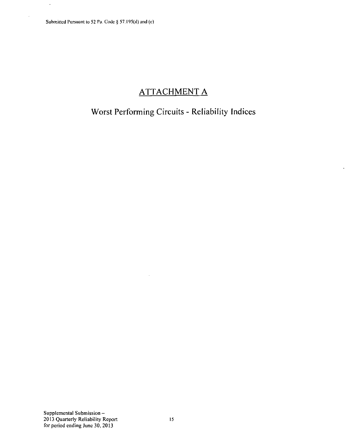$\ddot{\phantom{0}}$ 

J.

## **ATTACHMENT A**

# **Worst Performing Circuits - Reliability Indices**

 $\ddot{\phantom{a}}$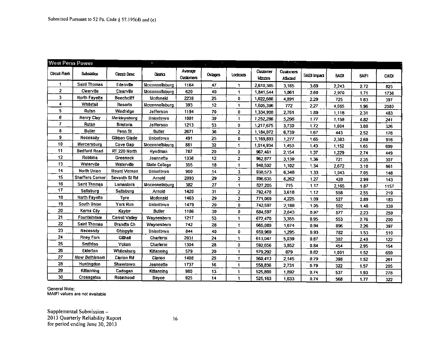| <b>West Penn Power</b> |                        |                       | a mata                |                      |                 |          |                    | $\mathcal{D}^{\text{max}}_{\mathcal{A}}$<br>$\sim$ |                    |              |              |              |
|------------------------|------------------------|-----------------------|-----------------------|----------------------|-----------------|----------|--------------------|----------------------------------------------------|--------------------|--------------|--------------|--------------|
| Circuit Rank           | Substation             | Central Desc          | Disance               | Average<br>Customers | <b>Outages</b>  | Lockouts | Customer<br>Mastes | <b>Oustomers</b><br>Affacted                       | <b>SADI</b> Impact | <b>SAIDI</b> | <b>SAIFI</b> | <b>CAIDI</b> |
| -1                     | <b>Saint Thomas</b>    | Edenville             | Mcconnellsburg        | 1164                 | 47              | 1        | 2,610,385          | 3,165                                              | 3.69               | 2,243        | 2.72         | 825          |
| $\overline{2}$         | Clearville             | Clearville            | Mcconnellsburg        | 620                  | 40              | 1        | 1,841,544          | 1,061                                              | 2.60               | 2,970        | 1.71         | 1736         |
| 3                      | North Fayette          | <b>Beechciff</b>      | <b>Mcdonald</b>       | 2239                 | 25              | 0        | 1,622,686          | 4,091                                              | 2.29               | 725          | 1.83         | 397          |
| 4                      | Whitetail              | <b>Resorts</b>        | <b>Mcconnellsburg</b> | 393                  | 12 <sub>2</sub> | 1        | 1.605,396          | 772                                                | 2.27               | 4,085        | 1.96         | 2080         |
| 5                      | Rutan                  | Windridge             | Jefferson             | 1194                 | 70              | 0        | 1.334.900          | 2,761                                              | 1.89               | 1,118        | 2.31         | 483          |
| 6                      | Henry Clay             | Markleysburg          | Uniontown             | 1081                 | 39              | 1        | 1,252,286          | 5,206                                              | 1.77               | 1,158        | 4.82         | 241          |
| 7                      | Rutan                  | <b>Bristoria</b>      | Jefferson             | 1213                 | 53              | 0        | 1,217,675          | 3,730                                              | 1.72               | 1,004        | 3.08         | 326          |
| 8                      | <b>Butler</b>          | Penn Si               | <b>Butler</b>         | 2671                 | 36              | 2        | 1.184,072          | 6,739                                              | 1.67               | 443          | 2.52         | 176          |
| 9                      | Necessity              | <b>Gibbon Glade</b>   | <b>Uniontown</b>      | 491                  | 25              | 0        | 1.159,893          | 1,277                                              | 1.65               | 2,333        | 2.60         | 916          |
| 10                     | Mercersburg            | Cove Gap              | Mcconnellsburg        | 881                  | 32              | 1        | 1.014,934          | 1,453                                              | 1.43               | 1,152        | 1.65         | 699          |
| 11                     | <b>Bedford Road</b>    | RT 220 North          | Hyndman               | 787                  | 20              | 0        | 967,461            | 2,154                                              | 1.37               | 1,229        | 2.74         | 449          |
| 12                     | Robbins                | Greenock              | Jeannette             | 1336                 | 12              | 2        | 962.877            | 3,139                                              | 1.36               | 721          | 2.35         | 307          |
| 13                     | Waterville             | Waterville            | State College         | 355                  | 18              | 1        | 948,502            | 1,102                                              | 1.34               | 2,672        | 3.10         | 861          |
| 14                     | North Union            | <b>Mount Vernon</b>   | Uniontown             | 900                  | 14              | 3        | 938,573            | 6,348                                              | 1.33               | 1.043        | 7.05         | 148          |
| 15                     | <b>Shaffers Corner</b> | Seventh St Rd         | Arnold                | 2093                 | 29              | 2        | 896,635            | 6,262                                              | 1.27               | 428          | 2.99         | 143          |
| 16                     | Saint Thomas           | Lemasters             | Mcconnellsburg        | 382                  | 27              | 1        | 827,205            | 715                                                | 1.17               | 2,165        | 1.87         | 1157         |
| 17                     | Saltsburg              | Saltsburg             | Arnold                | 1420                 | 31              | 2        | 792,478            | 3,618                                              | 1.12               | 558          | 2.55         | 219          |
| 18                     | North Fayette          | Tyre                  | Mcdonald              | 1463                 | 29              | 2        | 771,069            | 4,225                                              | 1.09               | 527          | 2.89         | 183          |
| 19                     | South Union            | York Run              | Uniontown             | 1479                 | 20              | 0        | 742,597            | 2,188                                              | 1.05               | 502          | 1.48         | 339          |
| 20                     | Karns City             | Kaylor                | <b>Butler</b>         | 1186                 | 30              | 0        | 684,597            | 2,643                                              | 0.97               | 577          | 2.23         | 259          |
| 21                     | Fountaindale           | <b>Carroll Valley</b> | Waynesboro            | 1217                 | 53              | 1        | 672,470            | 3,355                                              | 0.95               | 553          | 2.76         | 200          |
| $\boldsymbol{z}$       | Saint Thomas           | <b>Brandts Ch</b>     | Waynesboro            | 742                  | 28              | 1        | 665,089            | 1,674                                              | 0.94               | 896          | 2.26         | 397          |
| 23                     | Necessity              | Ohiopyle              | Uniontown             | 844                  | 40              | 0        | 659,969            | 1,295                                              | 0.93               | 782          | 1.53         | 510          |
| 24                     | <b>Piney Fork</b>      | Ginal                 | Charleroi             | 2031                 | 24              | 1        | 613.047            | 5,039                                              | 0.87               | 302          | 2.48         | 122          |
| 25                     | <b>Smithton</b>        | Yukon                 | Charleroi             | 1304                 | 28              | 0        | 592.656            | 3,852                                              | 0.84               | 454          | 2.95         | 154          |
| 26                     | Elderton               | Whitesburg            | Kittanning            | 579                  | 20              | 1        | 579,292            | 879                                                | 0.82               | 1,001        | 1.52         | 659          |
| 27                     | New Bethlehem          | <b>Clarion Rd</b>     | Clarion               | 1408                 | 25              | 1        | 560,413            | 2,145                                              | 0.79               | 398          | 1.52         | 261          |
| 28                     | Huntingdon             | Shawtown              | Jeannette             | 1737                 | 16              | 1        | 558,836            | 2,731                                              | 0.79               | 322          | 1.57         | 205          |
| 29                     | Kittanning             | Cadooan               | Kittanning            | 980                  | 13              | 1        | 525,890            | 1,892                                              | 0.74               | 537          | 1.93         | 278          |
| 30                     | Crossgates             | Robinhood             | Boyce                 | 925                  | 14              | 1        | 525,163            | 1,633                                              | 0.74               | 568          | 1.77         | 322          |

General Note: MAIFI values are not available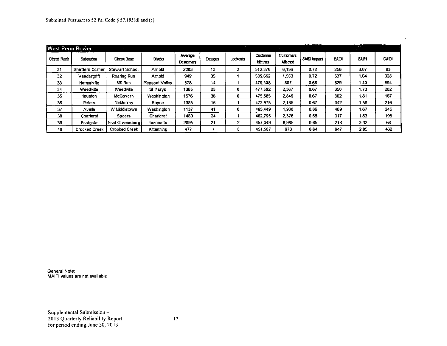| <b>West Penn Power</b> |                        | $\sim$               |                 |                             |        |          |                            | ×                            |              |             | <b>CALL</b>  |       |
|------------------------|------------------------|----------------------|-----------------|-----------------------------|--------|----------|----------------------------|------------------------------|--------------|-------------|--------------|-------|
| Cercui Rank            | Substation             | Circuit Desc         | District        | Average<br><b>Castomers</b> | Oraces | Lockouts | Customer<br><b>Minutes</b> | <b>Customers</b><br>Affected | SAIDI Impact | <b>SAIN</b> | <b>SAIFI</b> | CAIDI |
| 31                     | <b>Shaffers Corner</b> | Stewart School       | Arnold          | 2003                        | 13     | 2        | 512.376                    | 6,156                        | 0.72         | 256         | 3.07         | 83    |
| 32                     | Vandergrift            | Roaring Run          | Arnold          | 949                         | 35     |          | 509.662                    | 1,553                        | 0.72         | 537         | 1.54         | 328   |
| 33                     | Normalville            | Mill Run             | Pleasant Valley | 578                         | 14     |          | 479.308                    | 807                          | 0.68         | 829         | 1.40         | 594   |
| 34                     | Weedville              | Weedville            | St Marys        | 1365                        | 25     | 0        | 477.592                    | 2.367                        | 0.67         | 350         | 1.73         | 202   |
| 35                     | Houston                | McGovern             | Washington      | 1576                        | 36     | 0        | 475.585                    | 2,846                        | 0.67         | 302         | 1.81         | 167   |
| 36                     | Peters                 | McMurray             | Boyce           | 1385                        | 16     |          | 472.975                    | 2.185                        | 0.67         | 342         | 1.58         | 216   |
| 37                     | Avelia                 | W Middletown         | Washington      | 1137                        | 41     | 0        | 465.449                    | 1.900                        | 0.66         | 409         | 1.67         | 245   |
| 38                     | Charleroi              | <b>Speers</b>        | Charleroi       | 1460                        | 24     |          | 462.795                    | 2,376                        | 0.65         | 317         | 1.63         | 195   |
| 39                     | Eastgate               | East Greensburg      | Jeannette       | 2095                        | 21     | 2        | 457.349                    | 6.965                        | 0.65         | 218         | 3.32         | 66    |
| 40                     | <b>Crooked Creek</b>   | <b>Crooked Creek</b> | Kittannino      | 477                         |        | 0        | 451,507                    | 978                          | 0.64         | 947         | 2.05         | 462   |

 $\overline{\phantom{a}}$ 

General Note: MAIFI values are not available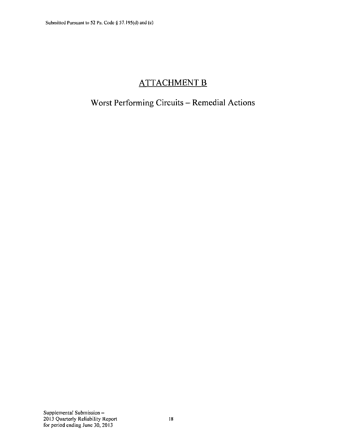## **ATTACHMENT B**

# **Worst Performing Circuits - Remedial Actions**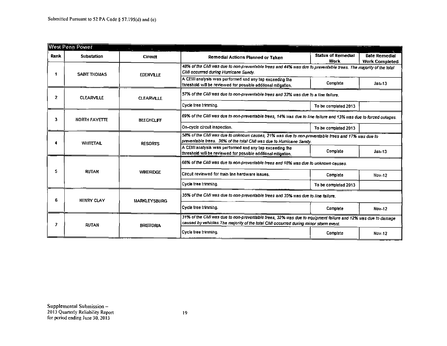|                                                                                                                                                                   | <b>West Penn Power</b><br>$\sim$ 100 $\mu$ |                                                                                                                                                                                                                         |                                                                                                                                                                          |                                                                                    |                                               |  |  |
|-------------------------------------------------------------------------------------------------------------------------------------------------------------------|--------------------------------------------|-------------------------------------------------------------------------------------------------------------------------------------------------------------------------------------------------------------------------|--------------------------------------------------------------------------------------------------------------------------------------------------------------------------|------------------------------------------------------------------------------------|-----------------------------------------------|--|--|
| Rank                                                                                                                                                              | <b>Substation</b>                          | Circuit                                                                                                                                                                                                                 | Remedial Actions Planned or Taken                                                                                                                                        | <b>Status of Remedial</b><br><b>Work</b>                                           | <b>Date Remedial</b><br><b>Work Completed</b> |  |  |
|                                                                                                                                                                   | <b>SAINT THOMAS</b>                        | <b>EDENVILLE</b>                                                                                                                                                                                                        | 48% of the CMI was due to non-preventable trees and 44% was due to preventable trees. The majority of the total<br>CMI occurred during Hurricane Sandy.                  |                                                                                    |                                               |  |  |
|                                                                                                                                                                   |                                            |                                                                                                                                                                                                                         | A CEMI analysis was performed and any tap exceeding the<br>threshold will be reviewed for possible additional mitigation.                                                | Complete                                                                           | $Jan-13$                                      |  |  |
| 2.                                                                                                                                                                | <b>CLEARVILLE</b>                          | <b>CLEARVILLE</b>                                                                                                                                                                                                       | 57% of the CMI was due to non-preventable trees and 33% was due to a line failure.                                                                                       |                                                                                    |                                               |  |  |
|                                                                                                                                                                   |                                            |                                                                                                                                                                                                                         | Cycle tree trimming.                                                                                                                                                     | To be completed 2013                                                               |                                               |  |  |
| 69% of the CMI was due to non-preventable trees, 14% was due to line failure and 13% was due to forced outages.<br>3<br><b>NORTH FAYETTE</b><br><b>BEECHCLIFF</b> |                                            |                                                                                                                                                                                                                         |                                                                                                                                                                          |                                                                                    |                                               |  |  |
|                                                                                                                                                                   |                                            |                                                                                                                                                                                                                         | On-cycle circuit inspection.                                                                                                                                             | To be completed 2013                                                               |                                               |  |  |
|                                                                                                                                                                   | <b>WHITETAL</b>                            | <b>RESORTS</b>                                                                                                                                                                                                          | 58% of the CMI was due to unknown causes, 21% was due to non-preventable trees and 17% was due to<br>preventable trees. 36% of the total CMI was due to Hurricane Sandy. |                                                                                    |                                               |  |  |
|                                                                                                                                                                   |                                            |                                                                                                                                                                                                                         | A CEM analysis was performed and any tap exceeding the<br>threshold will be reviewed for possible additional mitigation.                                                 | Complete                                                                           | $Jan-13$                                      |  |  |
|                                                                                                                                                                   | <b>RUTAN</b>                               |                                                                                                                                                                                                                         |                                                                                                                                                                          | 66% of the CMI was due to non-preventable trees and 18% was due to unknown causes. |                                               |  |  |
|                                                                                                                                                                   |                                            | <b>WINDRIDGE</b>                                                                                                                                                                                                        | Circuit reviewed for main the hardware issues                                                                                                                            | Complete                                                                           | Nov-12                                        |  |  |
|                                                                                                                                                                   |                                            |                                                                                                                                                                                                                         | Cycle tree trimming.                                                                                                                                                     | To be completed 2013                                                               |                                               |  |  |
| 6.                                                                                                                                                                | <b>HENRY CLAY</b>                          | <b>MARKLEYSBURG</b>                                                                                                                                                                                                     | 35% of the CMI was due to non-preventable trees and 35% was due to line failure.                                                                                         |                                                                                    |                                               |  |  |
|                                                                                                                                                                   |                                            |                                                                                                                                                                                                                         | Cycle tree trimming.                                                                                                                                                     | Complete                                                                           | <b>Nov-12</b>                                 |  |  |
| 7                                                                                                                                                                 | <b>RUTAN</b>                               | 31% of the CMI was due to non-preventable trees, 32% was due to equipment failure and 12% was due to damage<br>caused by vehicles. The majority of the total CMI occurred during minor storm event.<br><b>BRISTORIA</b> |                                                                                                                                                                          |                                                                                    |                                               |  |  |
|                                                                                                                                                                   |                                            |                                                                                                                                                                                                                         | Cycle tree trimming.                                                                                                                                                     | Complete                                                                           | <b>Nov-12</b>                                 |  |  |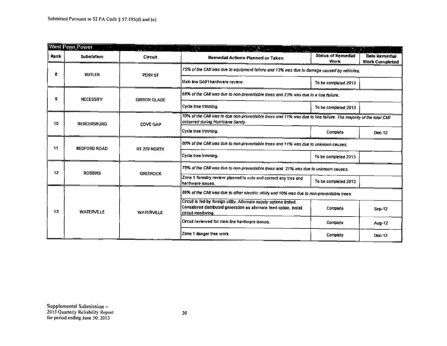|      | <b>West Penn, Power</b><br><b>ERV</b><br>$\sim$<br>$\sim$ |                                                                                            |                                                                                                                                                                    |                                          |                                        |  |
|------|-----------------------------------------------------------|--------------------------------------------------------------------------------------------|--------------------------------------------------------------------------------------------------------------------------------------------------------------------|------------------------------------------|----------------------------------------|--|
| Rank | Substation                                                | <b>Circuit</b>                                                                             | Remedial Actions Planned or Taken                                                                                                                                  | <b>Status of Remedial</b><br><b>Work</b> | Date Remedial<br><b>Work Completed</b> |  |
| 8    | <b>BUTLER</b>                                             | PENN ST                                                                                    | 75% of the CMI was due to equipment failure and 13% was due to damage caused by vehicles.                                                                          |                                          |                                        |  |
|      |                                                           |                                                                                            | Main line SAIFI hardware review.                                                                                                                                   | To be completed 2013                     |                                        |  |
| 9    | <b>NECESSITY</b>                                          | <b>GIBBON GLADE</b>                                                                        | 68% of the CMI was due to non-preventable trees and 23% was due to a line failure.                                                                                 |                                          |                                        |  |
|      |                                                           |                                                                                            | Cycle tree trimming.                                                                                                                                               | To be completed 2013                     |                                        |  |
| 10   | <b>MERCERSBURG</b>                                        | <b>COVE GAP</b>                                                                            | 70% of the CMI was to due non-preventable trees and 11% was due to line failure. The majority of the total CMI<br>occurred during Hurricane Sandy,                 |                                          |                                        |  |
|      |                                                           |                                                                                            | Cycle tree trimming.                                                                                                                                               | Complete                                 | $Dec-12$                               |  |
| 11   | BEDFORD ROAD                                              | RT 220 NORTH                                                                               | 80% of the CMI was due to non-preventable trees and 11% was due to unknown causes.                                                                                 |                                          |                                        |  |
|      |                                                           |                                                                                            | Cycle tree trimming.                                                                                                                                               | To be completed 2013                     |                                        |  |
| 12   | <b>ROBBINS</b>                                            | <b>GREENOCK</b>                                                                            | 75% of the CMI was due to non-preventable trees and 21% was due to unknown causes.                                                                                 |                                          |                                        |  |
|      |                                                           |                                                                                            | Zone 1 forestry review planned to note and correct any tree and<br>hardware issues.                                                                                | To be completed 2013                     |                                        |  |
|      |                                                           | 86% of the CMI was due to other electric utility and 10% was due to non-preventable trees. |                                                                                                                                                                    |                                          |                                        |  |
| 13   | <b>WATERVILLE</b>                                         | <b>WATERVILLE</b>                                                                          | Circuil is fed by foreign utility. Alternate supply options limited.<br>Considered distributed generation as alternate feed option, install<br>circuit monitoring. | Complete                                 | Sep-12                                 |  |
|      |                                                           |                                                                                            | Circuil reviewed for main line hardware issues.                                                                                                                    | Complete                                 | Aug-12                                 |  |
|      |                                                           |                                                                                            | Zone 1 danger tree work                                                                                                                                            | Complete                                 | $Dec-12$                               |  |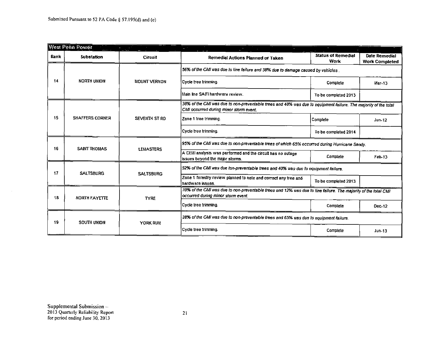|                                                                                                                                                           | <b>West Penn Rower</b> |                     | the control of the control of the                                                                                                                    |                                          |                                               |
|-----------------------------------------------------------------------------------------------------------------------------------------------------------|------------------------|---------------------|------------------------------------------------------------------------------------------------------------------------------------------------------|------------------------------------------|-----------------------------------------------|
| Rank                                                                                                                                                      | <b>Substation</b>      | <b>Circuit</b>      | Remedial Actions Planned or Taken                                                                                                                    | <b>Status of Remedial</b><br><b>Work</b> | <b>Date Remedial</b><br><b>Work Completed</b> |
|                                                                                                                                                           |                        |                     | 56% of the CMI was due to line failure and 38% due to damage caused by vehicles.                                                                     |                                          |                                               |
| 14                                                                                                                                                        | NORTH UNION            | <b>MOUNT VERNON</b> | Cycle tree trimming.                                                                                                                                 | Complete                                 | $Mar-13$                                      |
|                                                                                                                                                           |                        |                     | Main line SAIFI hardware review.                                                                                                                     | To be completed 2013                     |                                               |
| 38% of the CMI was due to non-preventable trees and 48% was due to equipment failure. The majority of the total<br>CMI occurred during minor storm event. |                        |                     |                                                                                                                                                      |                                          |                                               |
| 15                                                                                                                                                        | <b>SHAFFERS CORNER</b> | SEVENTH ST RD       | Zone 1 tree trimming.                                                                                                                                | Complete                                 | <b>Jun-12</b>                                 |
|                                                                                                                                                           |                        |                     | Cycle tree trimming.                                                                                                                                 | To be completed 2014                     |                                               |
| 16                                                                                                                                                        | <b>SAINT THOMAS</b>    | <b>LEMASTERS</b>    | 95% of the CMI was due to non-preventable trees of which 65% occurred during Hurricane Sandy.                                                        |                                          |                                               |
|                                                                                                                                                           |                        |                     | A CEMI analysis was performed and the circuit has no outage<br>issues beyond the major storms.                                                       | Complete                                 | $Feb-13$                                      |
| 17                                                                                                                                                        | <b>SALTSBURG</b>       |                     | 52% of the CMI was due ton-preventable trees and 40% was due to equipment failure.                                                                   |                                          |                                               |
|                                                                                                                                                           |                        | <b>SALTSBURG</b>    | Zone 1 forestry review planned to note and correct any tree and<br>hardware issues.                                                                  | To be completed 2013                     |                                               |
| 18                                                                                                                                                        | <b>NORTH FAYETTE</b>   | <b>TYRE</b>         | 70% of the CMI was due to non-preventable trees and 12% was due to line failure. The majority of the total CMI<br>occurred during minor storm event. |                                          |                                               |
|                                                                                                                                                           |                        |                     | Cycle tree trimming.                                                                                                                                 | Complete                                 | Dec-12                                        |
| 19                                                                                                                                                        | <b>SOUTH UNION</b>     | YORK RUN            | 28% of the CMI was due to non-preventable trees and 65% was due to equipment failure.                                                                |                                          |                                               |
|                                                                                                                                                           |                        |                     | Cycle tree trimming.                                                                                                                                 | Complete                                 | $Jun-13$                                      |

 $\sim 100$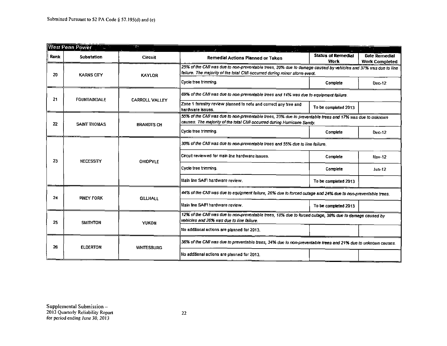|      | West Penn Power                                                                                                                                                                        | Ŧ.                    | $\sim$                                                                                                                                                                                     |                                          |                                        |  |
|------|----------------------------------------------------------------------------------------------------------------------------------------------------------------------------------------|-----------------------|--------------------------------------------------------------------------------------------------------------------------------------------------------------------------------------------|------------------------------------------|----------------------------------------|--|
| Rank | <b>Substation</b>                                                                                                                                                                      | <b>Circuit</b>        | <b>Remedial Actions Planned or Taken</b>                                                                                                                                                   | <b>Status of Remedial</b><br><b>Work</b> | Date Remedial<br><b>Work Completed</b> |  |
| 20   | <b>KARNS CITY</b>                                                                                                                                                                      | <b>KAYLOR</b>         | 25% of the CMI was due to non-preventable trees, 20% due to damage caused by vehicles and 37% was due to line<br>failure. The majority of the total CMI occurred during minor storm event. |                                          |                                        |  |
|      |                                                                                                                                                                                        |                       | Cycle tree trimming.                                                                                                                                                                       | Complete                                 | Dec-12                                 |  |
| 21.  | <b>FOUNTAINDALE</b>                                                                                                                                                                    | <b>CARROLL VALLEY</b> | 69% of the CMI was due to non-preventable trees and 14% was due to equipment failure.                                                                                                      |                                          |                                        |  |
|      |                                                                                                                                                                                        |                       | Zone 1 forestry review planned to note and correct any tree and<br>hardware issues.                                                                                                        | To be completed 2013                     |                                        |  |
| 22   | SAINT THOMAS                                                                                                                                                                           | <b>BRANDTS CH</b>     | 55% of the CMI was due to non-preventable trees, 23% due to preventable trees and 17% was due to unknown<br>causes. The majority of the total CMI occurred during Hurricane Sandy.         |                                          |                                        |  |
|      |                                                                                                                                                                                        |                       | Cycle tree trimming.                                                                                                                                                                       | Complete                                 | Dec.12                                 |  |
|      | <b>NECESSITY</b>                                                                                                                                                                       | <b>OHIOPYLE</b>       | 30% of the CMI was due to non-preventable trees and 55% due to line failure.                                                                                                               |                                          |                                        |  |
| 23   |                                                                                                                                                                                        |                       | Circuit reviewed for main line hardware issues.                                                                                                                                            | Complete                                 | Nov-12                                 |  |
|      |                                                                                                                                                                                        |                       | Cycle tree trimming.                                                                                                                                                                       | Complete                                 | $Jun-12$                               |  |
|      |                                                                                                                                                                                        |                       | Main line SAIFI hardware review.                                                                                                                                                           | To be completed 2013                     |                                        |  |
| 24   | PINEY FORK                                                                                                                                                                             | <b>GILLHALL</b>       | 44% of the CMI was due to equipment failure, 26% due to forced outage and 24% due to non-preventable trees.                                                                                |                                          |                                        |  |
|      |                                                                                                                                                                                        |                       | Main line SAIFI hardware review.                                                                                                                                                           | To be completed 2013                     |                                        |  |
| 25   | 12% of the CMI was due to non-preventable trees, 18% due to forced outage, 36% due to damage caused by<br>vehicles and 26% was due to line failure.<br><b>SMITHTON</b><br><b>YUKON</b> |                       |                                                                                                                                                                                            |                                          |                                        |  |
|      |                                                                                                                                                                                        |                       | No additional actions are planned for 2013.                                                                                                                                                |                                          |                                        |  |
| 26   | <b>ELDERTON</b>                                                                                                                                                                        | <b>WHITESBURG</b>     | 36% of the CMI was due to preventable trees, 34% due to non-preventable trees and 21% due to unknown causes.                                                                               |                                          |                                        |  |
|      |                                                                                                                                                                                        |                       | No additional actions are planned for 2013.                                                                                                                                                |                                          |                                        |  |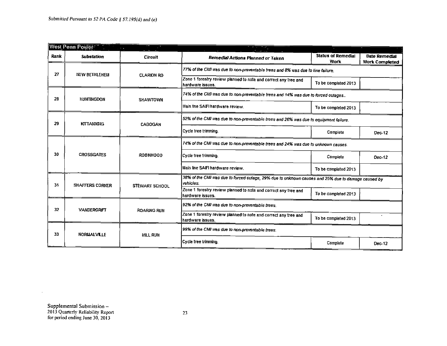|      | West Penn Power        |                                       |                                                                                                                 | $\mathcal{A}^{\mathcal{A}}$       |                                        |
|------|------------------------|---------------------------------------|-----------------------------------------------------------------------------------------------------------------|-----------------------------------|----------------------------------------|
| Rank | <b>Substation</b>      | <b>Circuit</b>                        | Remedial Actions Planned or Taken                                                                               | <b>Status of Remedial</b><br>Work | Date Remedial<br><b>Work Completed</b> |
| 27   | <b>NEW BETHLEHEM</b>   | <b>CLARION RD</b>                     | 77% of the CMI was due to non-preventable trees and 8% was due to line failure.                                 |                                   |                                        |
|      |                        |                                       | Zone 1 forestry review planned to note and correct any tree and<br>hardware issues.                             | To be completed 2013              |                                        |
| 28   | <b>HUNTINGDON</b>      | <b>SHAWTOWN</b>                       | 74% of the CMI was due to non-preventable trees and 14% was due to forced outages                               |                                   |                                        |
|      |                        |                                       | Main line SAIFI hardware review.                                                                                | To be completed 2013              |                                        |
| 29   | <b>KITTANNING</b>      | <b>CADOGAN</b>                        | 52% of the CMI was due to non-preventable trees and 26% was due to equipment failure.                           |                                   |                                        |
|      |                        |                                       | Cycle tree trimming.                                                                                            | Complete                          | Dec-12                                 |
|      | <b>CROSSGATES</b>      | ROBINHOOD                             | 74% of the CMI was due to non-preventable trees and 24% was due to unknown causes.                              |                                   |                                        |
| 30   |                        |                                       | Cycle tree trimming.                                                                                            | Complete                          | Dec-12                                 |
|      |                        |                                       | Main line SAIFI hardware review.                                                                                | To be completed 2013              |                                        |
| 31   | <b>SHAFFERS CORNER</b> | <b>STEWART SCHOOL</b>                 | 38% of the CMI was due to forced outage, 29% due to unknown causes and 25% due to damage caused by<br>vehicles. |                                   |                                        |
|      |                        |                                       | Zone 1 forestry review planned to note and correct any tree and<br>hardware issues.                             | To be completed 2013              |                                        |
| 32   | <b>VANDERGRIFT</b>     | <b>ROARING RUN</b>                    | 92% of the CMI was due to non-preventable trees.                                                                |                                   |                                        |
|      |                        |                                       | Zone 1 forestry review planned to note and correct any tree and<br>hardware issues.                             | To be completed 2013              |                                        |
| 33   |                        | <b>NORMALVILLE</b><br><b>MILL RUN</b> | 99% of the CMI was due to non-preventable trees.                                                                |                                   |                                        |
|      |                        |                                       | Cycle tree trimmino.                                                                                            | Complete                          | $Dec-12$                               |

ᆜ

 $\sim$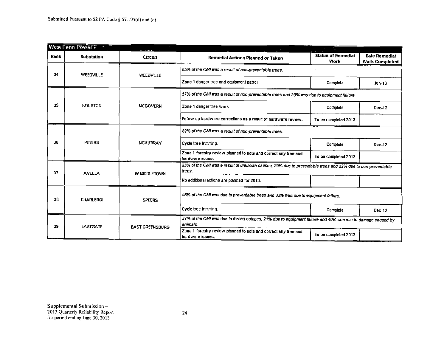|      | West Penn Power   | $\sim$                 |                                                                                                                        | $\mathcal{L} = \mathcal{L}$       |                                        |
|------|-------------------|------------------------|------------------------------------------------------------------------------------------------------------------------|-----------------------------------|----------------------------------------|
| Rank | <b>Substation</b> | Circuit                | Remedial Actions Planned or Taken                                                                                      | <b>Status of Remedial</b><br>Work | Date Remedial<br><b>Work Completed</b> |
| 34   | WEEDVILLE         | WEEDVILLE              | 85% of the CMI was a result of non-preventable trees.                                                                  |                                   |                                        |
|      |                   |                        | Zone 1 danger tree and equipment patrol.                                                                               | Complete                          | $Jun-13$                               |
|      |                   |                        | 57% of the CMI was a result of non-preventable trees and 23% was due to equipment failure.                             |                                   |                                        |
| 35   | <b>HOUSTON</b>    | <b>MCGOVERN</b>        | Zone 1 danger tree work                                                                                                | Complete                          | Dec-12                                 |
|      |                   |                        | Follow up hardware corrections as a result of hardware review.                                                         | To be completed 2013              |                                        |
|      | <b>PETERS</b>     | <b>IJCJJURRAY</b>      | 82% of the CMI was a result of non-preventable trees.                                                                  |                                   |                                        |
| 36   |                   |                        | Cycle tree trimming.                                                                                                   | Complete                          | Dec-12                                 |
|      |                   |                        | Zone 1 forestry review planned to note and correct any tree and<br>hardware issues.                                    | To be completed 2013              |                                        |
| 37   | <b>AVELLA</b>     | W MDDLETOWN            | 23% of the CMI was a result of unknown causes, 29% due to preventable trees and 22% due to non-preventable<br>trees.   |                                   |                                        |
|      |                   |                        | No additional actions are planned for 2013.                                                                            |                                   |                                        |
| 38   | <b>CHARLEROI</b>  | <b>SPEERS</b>          | 58% of the CMI was due to preventable trees and 33% was due to equipment failure.                                      |                                   |                                        |
|      |                   |                        | Cycle tree trimming.                                                                                                   | Complete                          | Dec-12                                 |
| 39   | <b>EASTGATE</b>   | <b>EAST GREENSBURG</b> | 37% of the CMI was due to forced outages, 21% due to equipment failure and 40% was due to damage caused by<br>animals. |                                   |                                        |
|      |                   |                        | Zone 1 forestry review planned to note and correct any tree and<br>hardware issues.                                    | To be completed 2013              |                                        |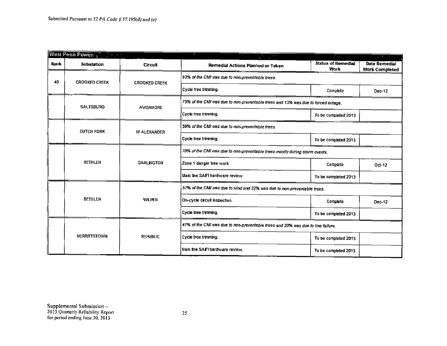|      | West Penn Power      |                      | <u> Participants</u>                                                              |                                          |                                        |  |
|------|----------------------|----------------------|-----------------------------------------------------------------------------------|------------------------------------------|----------------------------------------|--|
| Rank | <b>Substation</b>    | <b>Circuit</b>       | Remedial Actions Planned or Taken                                                 | <b>Status of Remedial</b><br><b>Work</b> | Date Remedial<br><b>Work Completed</b> |  |
| 40   | <b>CROOKED CREEK</b> | <b>CROOKED CREEK</b> | 93% of the CMI was due to non-preventable trees.                                  |                                          |                                        |  |
|      |                      |                      | Cycle tree trimming.                                                              | Complete                                 | Dec-12                                 |  |
|      | <b>SALTSBURG</b>     | <b>AVONMORE</b>      | 75% of the CMI was due to non-preventable trees and 13% was due to forced outage. |                                          |                                        |  |
|      |                      |                      | Cycle tree trimming.                                                              | To be completed 2013                     |                                        |  |
|      | <b>DUTCH FORK</b>    | <b>WALEXANDER</b>    | 59% of the CMI was due to non-preventable trees.                                  |                                          |                                        |  |
|      |                      |                      | Cycle tree trimming.                                                              | To be completed 2013                     |                                        |  |
|      |                      |                      | 70% of the CMI was due to non-preventable trees mostly during storm events.       |                                          |                                        |  |
|      | <b>BETHLEN</b>       | <b>DARLINGTON</b>    | Zone 1 dancer tree work                                                           | Complete                                 | $Oct-12$                               |  |
|      |                      |                      | Main line SAFI hardware review.                                                   | To be completed 2013                     |                                        |  |
|      |                      |                      | 57% of the CMI was due to wind and 22% was due to non-preventable trees.          |                                          |                                        |  |
|      | <b>BETHLEN</b>       | <b>WILPEN</b>        | On-cycle circuit inspection.                                                      | Complete                                 | $Dec-12$                               |  |
|      |                      |                      | Cycle tree trimming.                                                              | To be completed 2013                     |                                        |  |
|      | MERRITTSTOWN         | <b>REPUBLIC</b>      | 47% of the CMI was due to non-preventable trees and 20% was due to line failure.  |                                          |                                        |  |
|      |                      |                      | Cycle tree trimming.                                                              | To be completed 2013                     |                                        |  |
|      |                      |                      | Main line SAIFI hardware review.                                                  | To be completed 2013                     |                                        |  |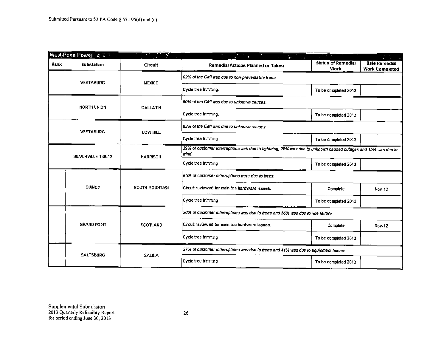|      | West Penn Power as 2.7 | Ŧ,<br>$\mathbf{r}_i$  | 计次字<br>$\mathcal{L}_{\mathcal{A}}$                                                                                    | والتواصيل                         | $\sim$                                        |  |
|------|------------------------|-----------------------|-----------------------------------------------------------------------------------------------------------------------|-----------------------------------|-----------------------------------------------|--|
| Rank | <b>Substation</b>      | <b>Circuit</b>        | Remedial Actions Planned or Taken                                                                                     | <b>Status of Remedial</b><br>Wark | <b>Date Remedial</b><br><b>Work Completed</b> |  |
|      | <b>VESTABURG</b>       | <b>MEXICO</b>         | 62% of the CMI was due to non-preventable trees.                                                                      |                                   |                                               |  |
|      |                        |                       | Cycle tree trimming.                                                                                                  | To be completed 2013              |                                               |  |
|      | <b>NORTH UNION</b>     |                       | 60% of the CMI was due to unknown causes.                                                                             |                                   |                                               |  |
|      |                        | <b>GALLATIN</b>       | Cycle tree trimming.                                                                                                  | To be completed 2013              |                                               |  |
|      | <b>VESTABURG</b>       | LOW HILL              | 83% of the CMI was due to unknown causes.                                                                             |                                   |                                               |  |
|      |                        |                       | Cycle tree trimming                                                                                                   | To be completed 2013              |                                               |  |
|      | SILVERVILLE 138-12     | <b>HARRISON</b>       | 39% of customer interruptions was due to lightning, 28% was due to unknown caused outages and 15% was due to<br>wind. |                                   |                                               |  |
|      |                        |                       | Cycle tree trimming                                                                                                   | To be completed 2013              |                                               |  |
|      |                        |                       | 85% of customer interruptions were due to trees.                                                                      |                                   |                                               |  |
|      | <b>QUINCY</b>          | <b>SOUTH MOUNTAIN</b> | Circuil reviewed for main line hardware issues.                                                                       | Complete                          | Nov-12                                        |  |
|      |                        |                       | Cycle tree trimming                                                                                                   | To be completed 2013              |                                               |  |
|      |                        |                       | 28% of customer interruptions was due to trees and 56% was due to line failure.                                       |                                   |                                               |  |
|      | <b>GRAND POILT</b>     | <b>SCOTLAND</b>       | Circuil reviewed for main line hardware issues.                                                                       | Complete                          | Nov-12                                        |  |
|      |                        |                       | Cycle tree trimming                                                                                                   | To be completed 2013              |                                               |  |
|      |                        |                       | 37% of customer interruptions was due to trees and 41% was due to equipment failure.                                  |                                   |                                               |  |
|      | <b>SALTSBURG</b>       | <b>SALINA</b>         | Cycle tree trimming                                                                                                   | To be completed 2013              |                                               |  |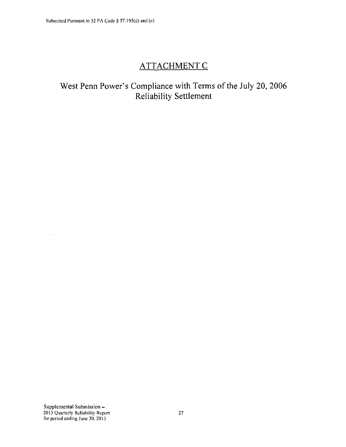## **ATTACHMENT C**

## **West Penn Power's Compliance with Terms of the July 20, 2006 Reliability Settlement**

 $\hat{\mathcal{A}}$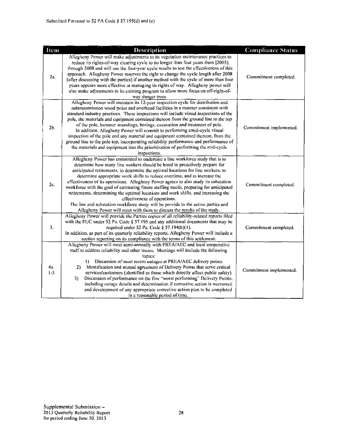| <i>i</i> tem   | Description                                                                                                                                                                                                                                                                                                                                                                                                                                                                                                                                                                                                                                                                                                                                                                                          | <b>Compliance Status</b> |
|----------------|------------------------------------------------------------------------------------------------------------------------------------------------------------------------------------------------------------------------------------------------------------------------------------------------------------------------------------------------------------------------------------------------------------------------------------------------------------------------------------------------------------------------------------------------------------------------------------------------------------------------------------------------------------------------------------------------------------------------------------------------------------------------------------------------------|--------------------------|
| 2a.            | Allegheny Power will make adjustments to its vegetation maintenance practices to<br>reduce its rights-of-way clearing cycle to no longer than four years from [2005]<br>through 2008 and will use the four-year cycle results to test the effectiveness of this<br>approach. Allegheny Power reserves the right to change the cycle length after 2008<br>(after discussing with the parties) if another method with the cycle of more than four<br>years appears more effective at managing its rights of way. Allegheny power will<br>also make adjustments to its existing program to allow more focus on off-right-of-<br>way danger trees.                                                                                                                                                       | Commitment completed.    |
| 2 <sub>b</sub> | Allegheny Power will maintain its 12-year inspection cycle for distribution and<br>subtransmission wood poles and overhead facilities in a manner consistent with<br>standard industry practices. These inspections will include visual inspections of the<br>pole, the materials and equipment contained thereon from the ground line to the top<br>of the pole, hammer soundings, borings, excavation and treatment of pole.<br>In addition, Allegheny Power will commit to performing amid-cycle visual<br>inspection of the pole and any material and equipment contained thereon, from the<br>ground line to the pole top, incorporating reliability performance and performance of<br>the materials and equipment into the prioritization of performing the mid-cycle<br>inspections.          | Commitment implemented.  |
| 2c.            | Allegheny Power has committed to undertake a line workforce study that is to<br>determine how many line workers should be hired to proactively prepare for<br>anticipated retirements, to determine the optimal locations for line workers, to<br>determine appropriate work shifts to reduce overtime, and to increase the<br>effectiveness of its operations. Allegheny Power agrees to also study its substation<br>workforce with the goal of estimating future staffing needs, preparing for anticipated<br>retirements, determining the optimal locations and work shifts, and increasing the<br>effectiveness of operations.<br>The line and substation workforce study will be provide to the active parties and<br>Allegheny Power will meet with them to discuss the results of the study. | Commitment completed.    |
| 3.             | Allegheny Power will provide the Parties copies of all reliability-related reports filed<br>with the PUC under 52 Pa. Code § 57.195 and any additional documents that may be<br>required under 52 Pa. Code § 57.194(h)(1).<br>In addition, as part of its quarterly reliability reports, Allegheny Power will include a<br>section reporting on its compliance with the terms of this settlement.                                                                                                                                                                                                                                                                                                                                                                                                    | Commitment completed.    |
| 4a.<br>$1-3$   | Allegheny Power will meet semi-annually with PREA/AEC and local cooperative<br>staff to address reliability and other issues. Meetings will include the following<br>topics:<br>Discussion of most recent outages at PREA/AEC delivery points<br>D.<br>Identification and mutual agreement of Delivery Points that serve critical<br>2)<br>services/customers (identified as those which directly affect public safety)<br>Discussion of performance on the five "worst performing" Delivery Points,<br>3)<br>including outage details and determination if corrective action is warranted<br>and development of any appropriate corrective action plan to be completed<br>in a reasonable period of time.                                                                                           | Commitment implemented.  |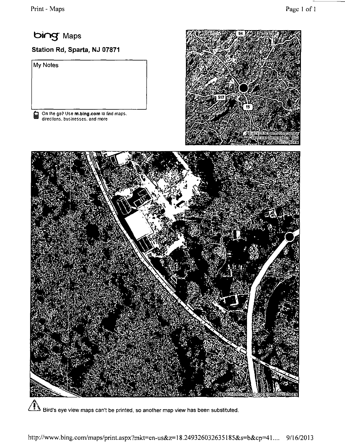## **bing Maps**

### **Station Rd, Sparta, NJ 07871**

My Notes

On the go? Use **m,bing,com** to find maps direclbns. buoinesseo. and more





**Bird's eye view maps can't be printed, so another map view has been substituted.**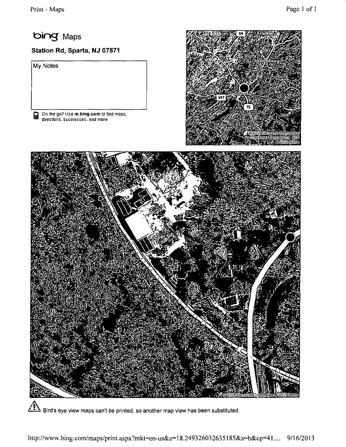# **bing Maps**

## **Station Rd, Sparta, NJ 07871**

My Notes

On the go? Use m.bing.com to find maps, directions, businesses, ond more





**Bird's eye view maps can't be printed, so another map view has been substituted.**